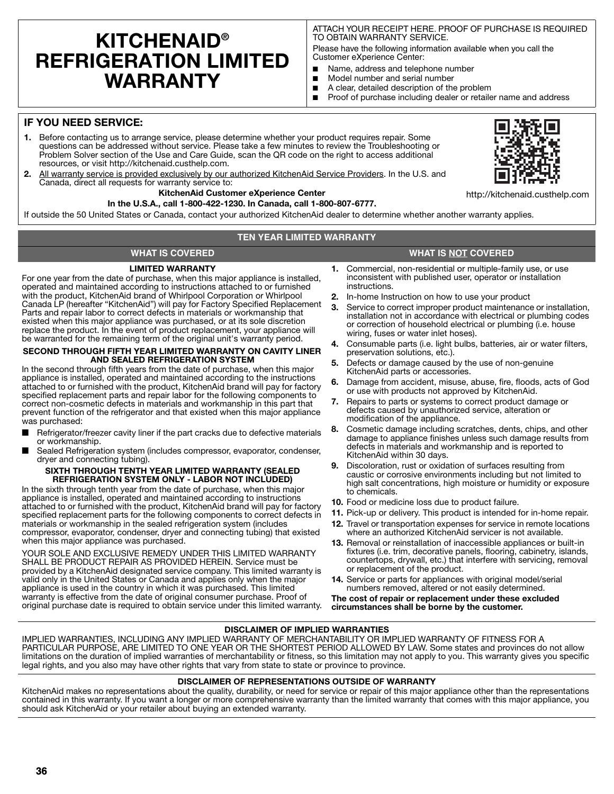# **KITCHENAID® REFRIGERATION LIMITED WARRANTY**

ATTACH YOUR RECEIPT HERE. PROOF OF PURCHASE IS REQUIRED TO OBTAIN WARRANTY SERVICE.

Please have the following information available when you call the Customer eXperience Center:

- Name, address and telephone number
- Model number and serial number
- A clear, detailed description of the problem
- Proof of purchase including dealer or retailer name and address

# **IF YOU NEED SERVICE:**

- **1.** Before contacting us to arrange service, please determine whether your product requires repair. Some questions can be addressed without service. Please take a few minutes to review the Troubleshooting or Problem Solver section of the Use and Care Guide, scan the QR code on the right to access additional resources, or visit http://kitchenaid.custhelp.com.
- **2.** All warranty service is provided exclusively by our authorized KitchenAid Service Providers. In the U.S. and Canada, direct all requests for warranty service to:

### **KitchenAid Customer eXperience Center**

#### **In the U.S.A., call 1-800-422-1230. In Canada, call 1-800-807-6777.**

If outside the 50 United States or Canada, contact your authorized KitchenAid dealer to determine whether another warranty applies.

### **TEN YEAR LIMITED WARRANTY**

## **WHAT IS COVERED WHAT IS NOT COVERED**

## **LIMITED WARRANTY**

For one year from the date of purchase, when this major appliance is installed, operated and maintained according to instructions attached to or furnished with the product, KitchenAid brand of Whirlpool Corporation or Whirlpool Canada LP (hereafter "KitchenAid") will pay for Factory Specified Replacement Parts and repair labor to correct defects in materials or workmanship that existed when this major appliance was purchased, or at its sole discretion replace the product. In the event of product replacement, your appliance will be warranted for the remaining term of the original unit's warranty period.

#### **SECOND THROUGH FIFTH YEAR LIMITED WARRANTY ON CAVITY LINER AND SEALED REFRIGERATION SYSTEM**

In the second through fifth years from the date of purchase, when this major appliance is installed, operated and maintained according to the instructions attached to or furnished with the product, KitchenAid brand will pay for factory specified replacement parts and repair labor for the following components to correct non-cosmetic defects in materials and workmanship in this part that prevent function of the refrigerator and that existed when this major appliance was purchased:

- Refrigerator/freezer cavity liner if the part cracks due to defective materials or workmanship.
- Sealed Refrigeration system (includes compressor, evaporator, condenser, dryer and connecting tubing).

#### **SIXTH THROUGH TENTH YEAR LIMITED WARRANTY (SEALED REFRIGERATION SYSTEM ONLY - LABOR NOT INCLUDED)**

In the sixth through tenth year from the date of purchase, when this major appliance is installed, operated and maintained according to instructions attached to or furnished with the product, KitchenAid brand will pay for factory specified replacement parts for the following components to correct defects in materials or workmanship in the sealed refrigeration system (includes compressor, evaporator, condenser, dryer and connecting tubing) that existed when this major appliance was purchased.

YOUR SOLE AND EXCLUSIVE REMEDY UNDER THIS LIMITED WARRANTY SHALL BE PRODUCT REPAIR AS PROVIDED HEREIN. Service must be provided by a KitchenAid designated service company. This limited warranty is valid only in the United States or Canada and applies only when the major appliance is used in the country in which it was purchased. This limited warranty is effective from the date of original consumer purchase. Proof of original purchase date is required to obtain service under this limited warranty.

- 
- **1.** Commercial, non-residential or multiple-family use, or use inconsistent with published user, operator or installation instructions.
- **2.** In-home Instruction on how to use your product
- **3.** Service to correct improper product maintenance or installation, installation not in accordance with electrical or plumbing codes or correction of household electrical or plumbing (i.e. house wiring, fuses or water inlet hoses).
- **4.** Consumable parts (i.e. light bulbs, batteries, air or water filters, preservation solutions, etc.).
- **5.** Defects or damage caused by the use of non-genuine KitchenAid parts or accessories.
- **6.** Damage from accident, misuse, abuse, fire, floods, acts of God or use with products not approved by KitchenAid.
- **7.** Repairs to parts or systems to correct product damage or defects caused by unauthorized service, alteration or modification of the appliance.
- **8.** Cosmetic damage including scratches, dents, chips, and other damage to appliance finishes unless such damage results from defects in materials and workmanship and is reported to KitchenAid within 30 days.
- **9.** Discoloration, rust or oxidation of surfaces resulting from caustic or corrosive environments including but not limited to high salt concentrations, high moisture or humidity or exposure to chemicals.
- **10.** Food or medicine loss due to product failure.
- **11.** Pick-up or delivery. This product is intended for in-home repair.
- **12.** Travel or transportation expenses for service in remote locations where an authorized KitchenAid servicer is not available.
- **13.** Removal or reinstallation of inaccessible appliances or built-in fixtures (i.e. trim, decorative panels, flooring, cabinetry, islands, countertops, drywall, etc.) that interfere with servicing, removal or replacement of the product.
- **14.** Service or parts for appliances with original model/serial numbers removed, altered or not easily determined.

**The cost of repair or replacement under these excluded circumstances shall be borne by the customer.** 

## **DISCLAIMER OF IMPLIED WARRANTIES**

IMPLIED WARRANTIES, INCLUDING ANY IMPLIED WARRANTY OF MERCHANTABILITY OR IMPLIED WARRANTY OF FITNESS FOR A PARTICULAR PURPOSE, ARE LIMITED TO ONE YEAR OR THE SHORTEST PERIOD ALLOWED BY LAW. Some states and provinces do not allow limitations on the duration of implied warranties of merchantability or fitness, so this limitation may not apply to you. This warranty gives you specific legal rights, and you also may have other rights that vary from state to state or province to province.

# **DISCLAIMER OF REPRESENTATIONS OUTSIDE OF WARRANTY**

KitchenAid makes no representations about the quality, durability, or need for service or repair of this major appliance other than the representations contained in this warranty. If you want a longer or more comprehensive warranty than the limited warranty that comes with this major appliance, you should ask KitchenAid or your retailer about buying an extended warranty.



http://kitchenaid.custhelp.com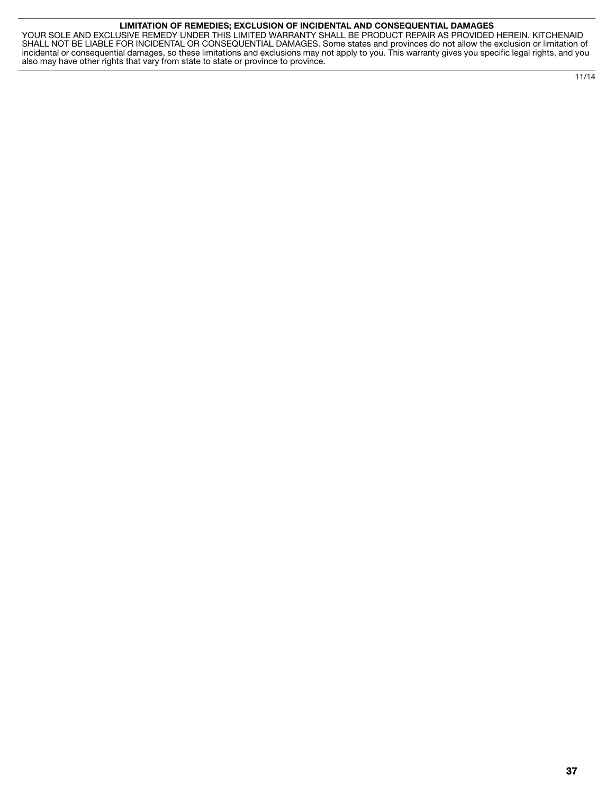#### **LIMITATION OF REMEDIES; EXCLUSION OF INCIDENTAL AND CONSEQUENTIAL DAMAGES**

YOUR SOLE AND EXCLUSIVE REMEDY UNDER THIS LIMITED WARRANTY SHALL BE PRODUCT REPAIR AS PROVIDED HEREIN. KITCHENAID SHALL NOT BE LIABLE FOR INCIDENTAL OR CONSEQUENTIAL DAMAGES. Some states and provinces do not allow the exclusion or limitation of incidental or consequential damages, so these limitations and exclusions may not apply to you. This warranty gives you specific legal rights, and you also may have other rights that vary from state to state or province to province.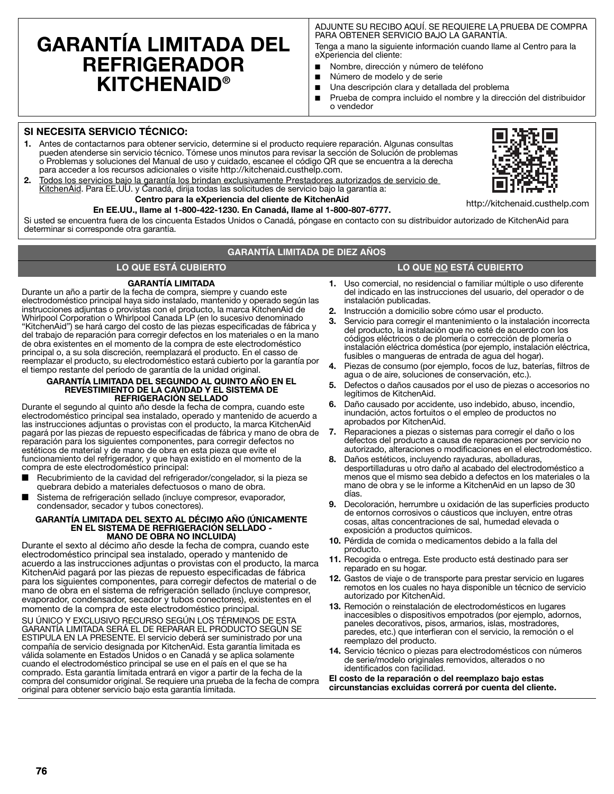# **GARANTÍA LIMITADA DEL REFRIGERADOR KITCHENAID®**

ADJUNTE SU RECIBO AQUÍ. SE REQUIERE LA PRUEBA DE COMPRA PARA OBTENER SERVICIO BAJO LA GARANTÍA.

Tenga a mano la siguiente información cuando llame al Centro para la eXperiencia del cliente:

- Nombre, dirección y número de teléfono
- Número de modelo y de serie
- Una descripción clara y detallada del problema
- Prueba de compra incluido el nombre y la dirección del distribuidor o vendedor

# **SI NECESITA SERVICIO TÉCNICO:**

- **1.** Antes de contactarnos para obtener servicio, determine si el producto requiere reparación. Algunas consultas pueden atenderse sin servicio técnico. Tómese unos minutos para revisar la sección de Solución de problemas o Problemas y soluciones del Manual de uso y cuidado, escanee el código QR que se encuentra a la derecha para acceder a los recursos adicionales o visite http://kitchenaid.custhelp.com.
- **2.** Todos los servicios bajo la garantía los brindan exclusivamente Prestadores autorizados de servicio de KitchenAid. Para EE.UU. y Canadá, dirija todas las solicitudes de servicio bajo la garantía a:

#### **Centro para la eXperiencia del cliente de KitchenAid En EE.UU., llame al 1-800-422-1230. En Canadá, llame al 1-800-807-6777.**

Si usted se encuentra fuera de los cincuenta Estados Unidos o Canadá, póngase en contacto con su distribuidor autorizado de KitchenAid para determinar si corresponde otra garantía.

## **GARANTÍA LIMITADA DE DIEZ AÑOS**

## **LO QUE ESTÁ CUBIERTO LO QUE NO ESTÁ CUBIERTO**

# **GARANTÍA LIMITADA**

Durante un año a partir de la fecha de compra, siempre y cuando este electrodoméstico principal haya sido instalado, mantenido y operado según las instrucciones adjuntas o provistas con el producto, la marca KitchenAid de Whirlpool Corporation o Whirlpool Canada LP (en lo sucesivo denominado "KitchenAid") se hará cargo del costo de las piezas especificadas de fábrica y del trabajo de reparación para corregir defectos en los materiales o en la mano de obra existentes en el momento de la compra de este electrodoméstico principal o, a su sola discreción, reemplazará el producto. En el casso de reemplazar el producto, su electrodoméstico estará cubierto por la garantía por el tiempo restante del período de garantía de la unidad original.

#### **GARANTÍA LIMITADA DEL SEGUNDO AL QUINTO AÑO EN EL REVESTIMIENTO DE LA CAVIDAD Y EL SISTEMA DE REFRIGERACIÓN SELLADO**

Durante el segundo al quinto año desde la fecha de compra, cuando este electrodoméstico principal sea instalado, operado y mantenido de acuerdo a las instrucciones adjuntas o provistas con el producto, la marca KitchenAid pagará por las piezas de repuesto especificadas de fábrica y mano de obra de reparación para los siguientes componentes, para corregir defectos no estéticos de material y de mano de obra en esta pieza que evite el funcionamiento del refrigerador, y que haya existido en el momento de la compra de este electrodoméstico principal:

- Recubrimiento de la cavidad del refrigerador/congelador, si la pieza se quebrara debido a materiales defectuosos o mano de obra.
- Sistema de refrigeración sellado (incluye compresor, evaporador, condensador, secador y tubos conectores).

#### **GARANTÍA LIMITADA DEL SEXTO AL DÉCIMO AÑO (ÚNICAMENTE EN EL SISTEMA DE REFRIGERACIÓN SELLADO - MANO DE OBRA NO INCLUIDA)**

Durante el sexto al décimo año desde la fecha de compra, cuando este electrodoméstico principal sea instalado, operado y mantenido de acuerdo a las instrucciones adjuntas o provistas con el producto, la marca KitchenAid pagará por las piezas de repuesto especificadas de fábrica para los siguientes componentes, para corregir defectos de material o de mano de obra en el sistema de refrigeración sellado (incluye compresor, evaporador, condensador, secador y tubos conectores), existentes en el momento de la compra de este electrodoméstico principal.

SU ÚNICO Y EXCLUSIVO RECURSO SEGÚN LOS TÉRMINOS DE ESTA GARANTÍA LIMITADA SERÁ EL DE REPARAR EL PRODUCTO SEGÚN SE ESTIPULA EN LA PRESENTE. El servicio deberá ser suministrado por una compañía de servicio designada por KitchenAid. Esta garantía limitada es válida solamente en Estados Unidos o en Canadá y se aplica solamente cuando el electrodoméstico principal se use en el país en el que se ha comprado. Esta garantía limitada entrará en vigor a partir de la fecha de la compra del consumidor original. Se requiere una prueba de la fecha de compra original para obtener servicio bajo esta garantía limitada.

- **1.** Uso comercial, no residencial o familiar múltiple o uso diferente del indicado en las instrucciones del usuario, del operador o de instalación publicadas.
- **2.** Instrucción a domicilio sobre cómo usar el producto.
- **3.** Servicio para corregir el mantenimiento o la instalación incorrecta del producto, la instalación que no esté de acuerdo con los códigos eléctricos o de plomería o corrección de plomería o instalación eléctrica doméstica (por ejemplo, instalación eléctrica, fusibles o mangueras de entrada de agua del hogar).
- **4.** Piezas de consumo (por ejemplo, focos de luz, baterías, filtros de agua o de aire, soluciones de conservación, etc.).
- **5.** Defectos o daños causados por el uso de piezas o accesorios no legítimos de KitchenAid.
- **6.** Daño causado por accidente, uso indebido, abuso, incendio, inundación, actos fortuitos o el empleo de productos no aprobados por KitchenAid.
- **7.** Reparaciones a piezas o sistemas para corregir el daño o los defectos del producto a causa de reparaciones por servicio no autorizado, alteraciones o modificaciones en el electrodoméstico.
- **8.** Daños estéticos, incluyendo rayaduras, abolladuras, desportilladuras u otro daño al acabado del electrodoméstico a menos que el mismo sea debido a defectos en los materiales o la mano de obra y se le informe a KitchenAid en un lapso de 30 días.
- **9.** Decoloración, herrumbre u oxidación de las superficies producto de entornos corrosivos o cáusticos que incluyen, entre otras cosas, altas concentraciones de sal, humedad elevada o exposición a productos químicos.
- **10.** Pérdida de comida o medicamentos debido a la falla del producto.
- **11.** Recogida o entrega. Este producto está destinado para ser reparado en su hogar.
- **12.** Gastos de viaje o de transporte para prestar servicio en lugares remotos en los cuales no haya disponible un técnico de servicio autorizado por KitchenAid.
- **13.** Remoción o reinstalación de electrodomésticos en lugares inaccesibles o dispositivos empotrados (por ejemplo, adornos, paneles decorativos, pisos, armarios, islas, mostradores, paredes, etc.) que interfieran con el servicio, la remoción o el reemplazo del producto.
- **14.** Servicio técnico o piezas para electrodomésticos con números de serie/modelo originales removidos, alterados o no identificados con facilidad.

**El costo de la reparación o del reemplazo bajo estas circunstancias excluidas correrá por cuenta del cliente.** 

**76**



http://kitchenaid.custhelp.com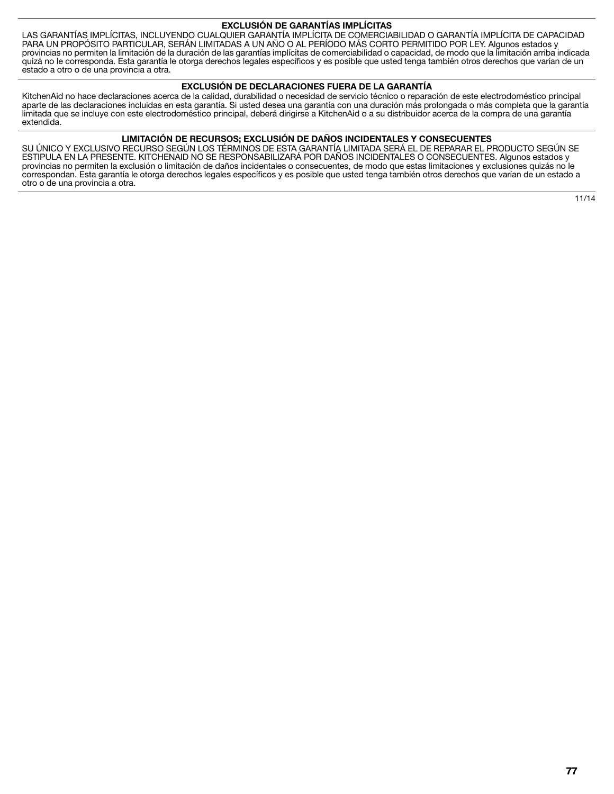#### **EXCLUSIÓN DE GARANTÍAS IMPLÍCITAS**

LAS GARANTÍAS IMPLÍCITAS, INCLUYENDO CUALQUIER GARANTÍA IMPLÍCITA DE COMERCIABILIDAD O GARANTÍA IMPLÍCITA DE CAPACIDAD PARA UN PROPÓSITO PARTICULAR, SERÁN LIMITADAS A UN AÑO O AL PERÍODO MÁS CORTO PERMITIDO POR LEY. Algunos estados y provincias no permiten la limitación de la duración de las garantías implícitas de comerciabilidad o capacidad, de modo que la limitación arriba indicada quizá no le corresponda. Esta garantía le otorga derechos legales específicos y es posible que usted tenga también otros derechos que varían de un estado a otro o de una provincia a otra.

## **EXCLUSIÓN DE DECLARACIONES FUERA DE LA GARANTÍA**

KitchenAid no hace declaraciones acerca de la calidad, durabilidad o necesidad de servicio técnico o reparación de este electrodoméstico principal aparte de las declaraciones incluidas en esta garantía. Si usted desea una garantía con una duración más prolongada o más completa que la garantía limitada que se incluye con este electrodoméstico principal, deberá dirigirse a KitchenAid o a su distribuidor acerca de la compra de una garantía extendida.

## **LIMITACIÓN DE RECURSOS; EXCLUSIÓN DE DAÑOS INCIDENTALES Y CONSECUENTES**

SU ÚNICO Y EXCLUSIVO RECURSO SEGÚN LOS TÉRMINOS DE ESTA GARANTÍA LIMITADA SERÁ EL DE REPARAR EL PRODUCTO SEGÚN SE ESTIPULA EN LA PRESENTE. KITCHENAID NO SE RESPONSABILIZARÁ POR DAÑOS INCIDENTALES O CONSECUENTES. Algunos estados y provincias no permiten la exclusión o limitación de daños incidentales o consecuentes, de modo que estas limitaciones y exclusiones quizás no le correspondan. Esta garantía le otorga derechos legales específicos y es posible que usted tenga también otros derechos que varían de un estado a otro o de una provincia a otra.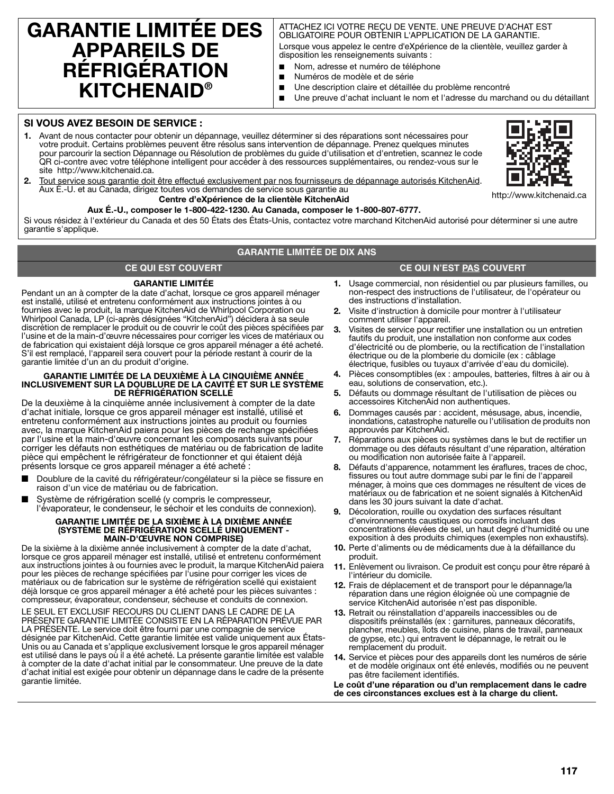# **GARANTIE LIMITÉE DES APPAREILS DE RÉFRIGÉRATION KITCHENAID®**

#### ATTACHEZ ICI VOTRE REÇU DE VENTE. UNE PREUVE D'ACHAT EST OBLIGATOIRE POUR OBTENIR L'APPLICATION DE LA GARANTIE.

Lorsque vous appelez le centre d'eXpérience de la clientèle, veuillez garder à disposition les renseignements suivants :

- Nom, adresse et numéro de téléphone
	- Numéros de modèle et de série
- Une description claire et détaillée du problème rencontré
- Une preuve d'achat incluant le nom et l'adresse du marchand ou du détaillant

# **SI VOUS AVEZ BESOIN DE SERVICE :**

**1.** Avant de nous contacter pour obtenir un dépannage, veuillez déterminer si des réparations sont nécessaires pour votre produit. Certains problèmes peuvent être résolus sans intervention de dépannage. Prenez quelques minutes pour parcourir la section Dépannage ou Résolution de problèmes du guide d'utilisation et d'entretien, scannez le code QR ci-contre avec votre téléphone intelligent pour accéder à des ressources supplémentaires, ou rendez-vous sur le site http://www.kitchenaid.ca.



**2.** Tout service sous garantie doit être effectué exclusivement par nos fournisseurs de dépannage autorisés KitchenAid. Aux É.-U. et au Canada, dirigez toutes vos demandes de service sous garantie au

http://www.kitchenaid.ca

**Centre d'eXpérience de la clientèle KitchenAid Aux É.-U., composer le 1-800-422-1230. Au Canada, composer le 1-800-807-6777.**

Si vous résidez à l'extérieur du Canada et des 50 États des États-Unis, contactez votre marchand KitchenAid autorisé pour déterminer si une autre garantie s'applique.

# **GARANTIE LIMITÉE DE DIX ANS**

# **GARANTIE LIMITÉE**

Pendant un an à compter de la date d'achat, lorsque ce gros appareil ménager est installé, utilisé et entretenu conformément aux instructions jointes à ou fournies avec le produit, la marque KitchenAid de Whirlpool Corporation ou Whirlpool Canada, LP (ci-après désignées "KitchenAid") décidera à sa seule discrétion de remplacer le produit ou de couvrir le coût des pièces spécifiées par l'usine et de la main-d'œuvre nécessaires pour corriger les vices de matériaux ou de fabrication qui existaient déjà lorsque ce gros appareil ménager a été acheté. S'il est remplacé, l'appareil sera couvert pour la période restant à courir de la garantie limitée d'un an du produit d'origine.

#### **GARANTIE LIMITÉE DE LA DEUXIÈME À LA CINQUIÈME ANNÉE INCLUSIVEMENT SUR LA DOUBLURE DE LA CAVITÉ ET SUR LE SYSTÈME DE RÉFRIGÉRATION SCELLÉ**

De la deuxième à la cinquième année inclusivement à compter de la date d'achat initiale, lorsque ce gros appareil ménager est installé, utilisé et entretenu conformément aux instructions jointes au produit ou fournies avec, la marque KitchenAid paiera pour les pièces de rechange spécifiées par l'usine et la main-d'œuvre concernant les composants suivants pour corriger les défauts non esthétiques de matériau ou de fabrication de ladite pièce qui empêchent le réfrigérateur de fonctionner et qui étaient déjà présents lorsque ce gros appareil ménager a été acheté :

- Doublure de la cavité du réfrigérateur/congélateur si la pièce se fissure en raison d'un vice de matériau ou de fabrication.
- Système de réfrigération scellé (y compris le compresseur, l'évaporateur, le condenseur, le séchoir et les conduits de connexion).

#### **GARANTIE LIMITÉE DE LA SIXIÈME À LA DIXIÈME ANNÉE (SYSTÈME DE RÉFRIGÉRATION SCELLÉ UNIQUEMENT - MAIN-D'ŒUVRE NON COMPRISE)**

De la sixième à la dixième année inclusivement à compter de la date d'achat, lorsque ce gros appareil ménager est installé, utilisé et entretenu conformément aux instructions jointes à ou fournies avec le produit, la marque KitchenAid paiera pour les pièces de rechange spécifiées par l'usine pour corriger les vices de matériaux ou de fabrication sur le système de réfrigération scellé qui existaient déjà lorsque ce gros appareil ménager a été acheté pour les pièces suivantes : compresseur, évaporateur, condenseur, sécheuse et conduits de connexion.

LE SEUL ET EXCLUSIF RECOURS DU CLIENT DANS LE CADRE DE LA PRÉSENTE GARANTIE LIMITÉE CONSISTE EN LA RÉPARATION PRÉVUE PAR LA PRÉSENTE. Le service doit être fourni par une compagnie de service désignée par KitchenAid. Cette garantie limitée est valide uniquement aux États-Unis ou au Canada et s'applique exclusivement lorsque le gros appareil ménager est utilisé dans le pays où il a été acheté. La présente garantie limitée est valable à compter de la date d'achat initial par le consommateur. Une preuve de la date d'achat initial est exigée pour obtenir un dépannage dans le cadre de la présente garantie limitée.

# **CE QUI EST COUVERT CE QUI N'EST PAS COUVERT**

- **1.** Usage commercial, non résidentiel ou par plusieurs familles, ou non-respect des instructions de l'utilisateur, de l'opérateur ou des instructions d'installation.
- **2.** Visite d'instruction à domicile pour montrer à l'utilisateur comment utiliser l'appareil.
- **3.** Visites de service pour rectifier une installation ou un entretien fautifs du produit, une installation non conforme aux codes d'électricité ou de plomberie, ou la rectification de l'installation électrique ou de la plomberie du domicile (ex : câblage électrique, fusibles ou tuyaux d'arrivée d'eau du domicile).
- **4.** Pièces consomptibles (ex : ampoules, batteries, filtres à air ou à eau, solutions de conservation, etc.).
- **5.** Défauts ou dommage résultant de l'utilisation de pièces ou accessoires KitchenAid non authentiques.
- **6.** Dommages causés par : accident, mésusage, abus, incendie, inondations, catastrophe naturelle ou l'utilisation de produits non approuvés par KitchenAid.
- **7.** Réparations aux pièces ou systèmes dans le but de rectifier un dommage ou des défauts résultant d'une réparation, altération ou modification non autorisée faite à l'appareil.
- **8.** Défauts d'apparence, notamment les éraflures, traces de choc, fissures ou tout autre dommage subi par le fini de l'appareil ménager, à moins que ces dommages ne résultent de vices de matériaux ou de fabrication et ne soient signalés à KitchenAid dans les 30 jours suivant la date d'achat.
- **9.** Décoloration, rouille ou oxydation des surfaces résultant d'environnements caustiques ou corrosifs incluant des concentrations élevées de sel, un haut degré d'humidité ou une exposition à des produits chimiques (exemples non exhaustifs).
- **10.** Perte d'aliments ou de médicaments due à la défaillance du produit.
- **11.** Enlèvement ou livraison. Ce produit est conçu pour être réparé à l'intérieur du domicile.
- **12.** Frais de déplacement et de transport pour le dépannage/la réparation dans une région éloignée où une compagnie de service KitchenAid autorisée n'est pas disponible.
- **13.** Retrait ou réinstallation d'appareils inaccessibles ou de dispositifs préinstallés (ex : garnitures, panneaux décoratifs, plancher, meubles, îlots de cuisine, plans de travail, panneaux de gypse, etc.) qui entravent le dépannage, le retrait ou le remplacement du produit.
- **14.** Service et pièces pour des appareils dont les numéros de série et de modèle originaux ont été enlevés, modifiés ou ne peuvent pas être facilement identifiés.
- **Le coût d'une réparation ou d'un remplacement dans le cadre de ces circonstances exclues est à la charge du client.**